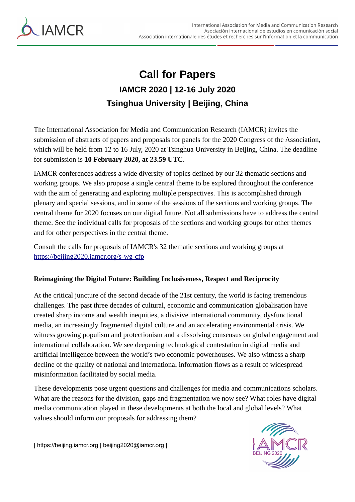

## **Call for Papers IAMCR 2020 | 12-16 July 2020 Tsinghua University | Beijing, China**

The International Association for Media and Communication Research (IAMCR) invites the submission of abstracts of papers and proposals for panels for the 2020 Congress of the Association, which will be held from 12 to 16 July, 2020 at Tsinghua University in Beijing, China. The deadline for submission is **10 February 2020, at 23.59 UTC**.

IAMCR conferences address a wide diversity of topics defined by our 32 thematic sections and working groups. We also propose a single central theme to be explored throughout the conference with the aim of generating and exploring multiple perspectives. This is accomplished through plenary and special sessions, and in some of the sessions of the sections and working groups. The central theme for 2020 focuses on our digital future. Not all submissions have to address the central theme. See the individual calls for proposals of the sections and working groups for other themes and for other perspectives in the central theme.

Consult the calls for proposals of IAMCR's 32 thematic sections and working groups at <https://beijing2020.iamcr.org/s-wg-cfp>

## **Reimagining the Digital Future: Building Inclusiveness, Respect and Reciprocity**

At the critical juncture of the second decade of the 21st century, the world is facing tremendous challenges. The past three decades of cultural, economic and communication globalisation have created sharp income and wealth inequities, a divisive international community, dysfunctional media, an increasingly fragmented digital culture and an accelerating environmental crisis. We witness growing populism and protectionism and a dissolving consensus on global engagement and international collaboration. We see deepening technological contestation in digital media and artificial intelligence between the world's two economic powerhouses. We also witness a sharp decline of the quality of national and international information flows as a result of widespread misinformation facilitated by social media.

These developments pose urgent questions and challenges for media and communications scholars. What are the reasons for the division, gaps and fragmentation we now see? What roles have digital media communication played in these developments at both the local and global levels? What values should inform our proposals for addressing them?



| https://beijing.iamcr.org | beijing2020@iamcr.org |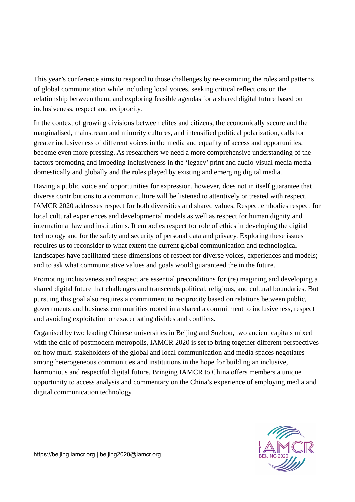This year's conference aims to respond to those challenges by re-examining the roles and patterns of global communication while including local voices, seeking critical reflections on the relationship between them, and exploring feasible agendas for a shared digital future based on inclusiveness, respect and reciprocity.

In the context of growing divisions between elites and citizens, the economically secure and the marginalised, mainstream and minority cultures, and intensified political polarization, calls for greater inclusiveness of different voices in the media and equality of access and opportunities, become even more pressing. As researchers we need a more comprehensive understanding of the factors promoting and impeding inclusiveness in the 'legacy' print and audio-visual media media domestically and globally and the roles played by existing and emerging digital media.

Having a public voice and opportunities for expression, however, does not in itself guarantee that diverse contributions to a common culture will be listened to attentively or treated with respect. IAMCR 2020 addresses respect for both diversities and shared values. Respect embodies respect for local cultural experiences and developmental models as well as respect for human dignity and international law and institutions. It embodies respect for role of ethics in developing the digital technology and for the safety and security of personal data and privacy. Exploring these issues requires us to reconsider to what extent the current global communication and technological landscapes have facilitated these dimensions of respect for diverse voices, experiences and models; and to ask what communicative values and goals would guaranteed the in the future.

Promoting inclusiveness and respect are essential preconditions for (re)imagining and developing a shared digital future that challenges and transcends political, religious, and cultural boundaries. But pursuing this goal also requires a commitment to reciprocity based on relations between public, governments and business communities rooted in a shared a commitment to inclusiveness, respect and avoiding exploitation or exacerbating divides and conflicts.

Organised by two leading Chinese universities in Beijing and Suzhou, two ancient capitals mixed with the chic of postmodern metropolis, IAMCR 2020 is set to bring together different perspectives on how multi-stakeholders of the global and local communication and media spaces negotiates among heterogeneous communities and institutions in the hope for building an inclusive, harmonious and respectful digital future. Bringing IAMCR to China offers members a unique opportunity to access analysis and commentary on the China's experience of employing media and digital communication technology.